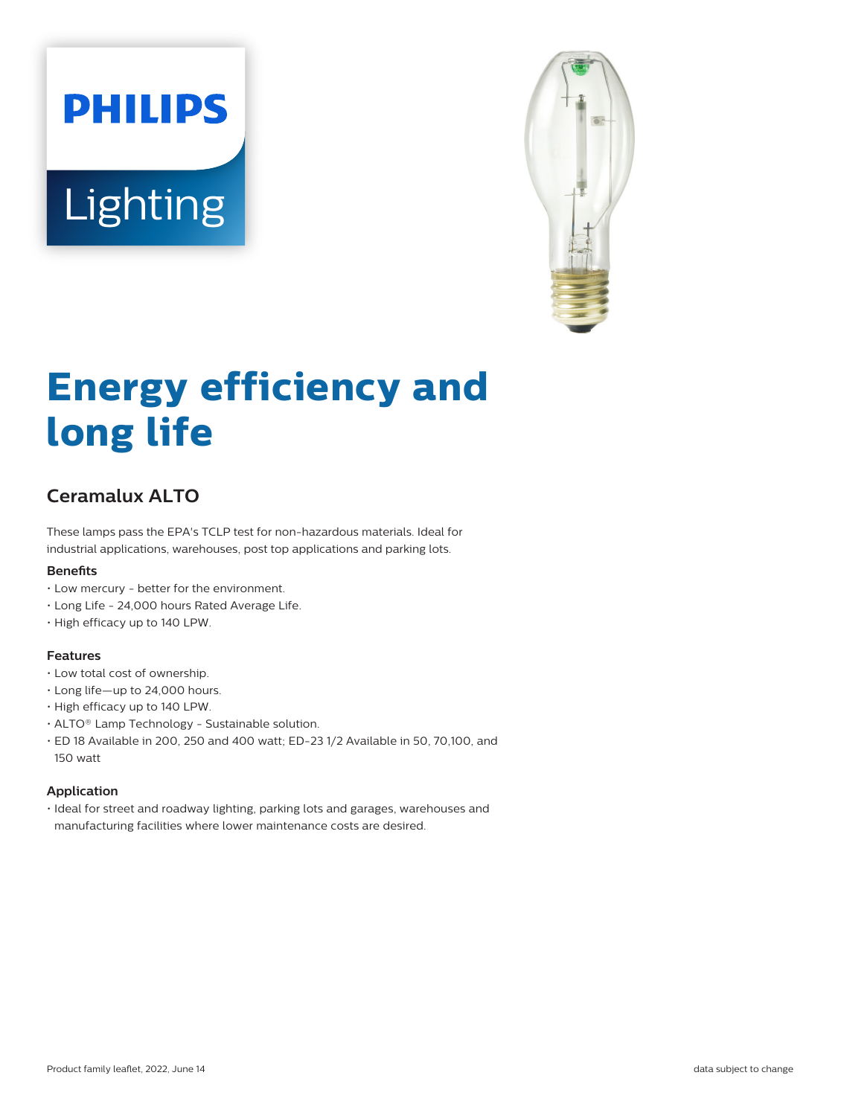# **PHILIPS** Lighting



# **Energy efficiency and long life**

# **Ceramalux ALTO**

These lamps pass the EPA's TCLP test for non-hazardous materials. Ideal for industrial applications, warehouses, post top applications and parking lots.

#### **Benefits**

- Low mercury better for the environment.
- Long Life 24,000 hours Rated Average Life.
- High efficacy up to 140 LPW.

#### **Features**

- Low total cost of ownership.
- Long life—up to 24,000 hours.
- High efficacy up to 140 LPW.
- ALTO® Lamp Technology Sustainable solution.
- ED 18 Available in 200, 250 and 400 watt; ED-23 1/2 Available in 50, 70,100, and 150 watt

#### **Application**

• Ideal for street and roadway lighting, parking lots and garages, warehouses and manufacturing facilities where lower maintenance costs are desired.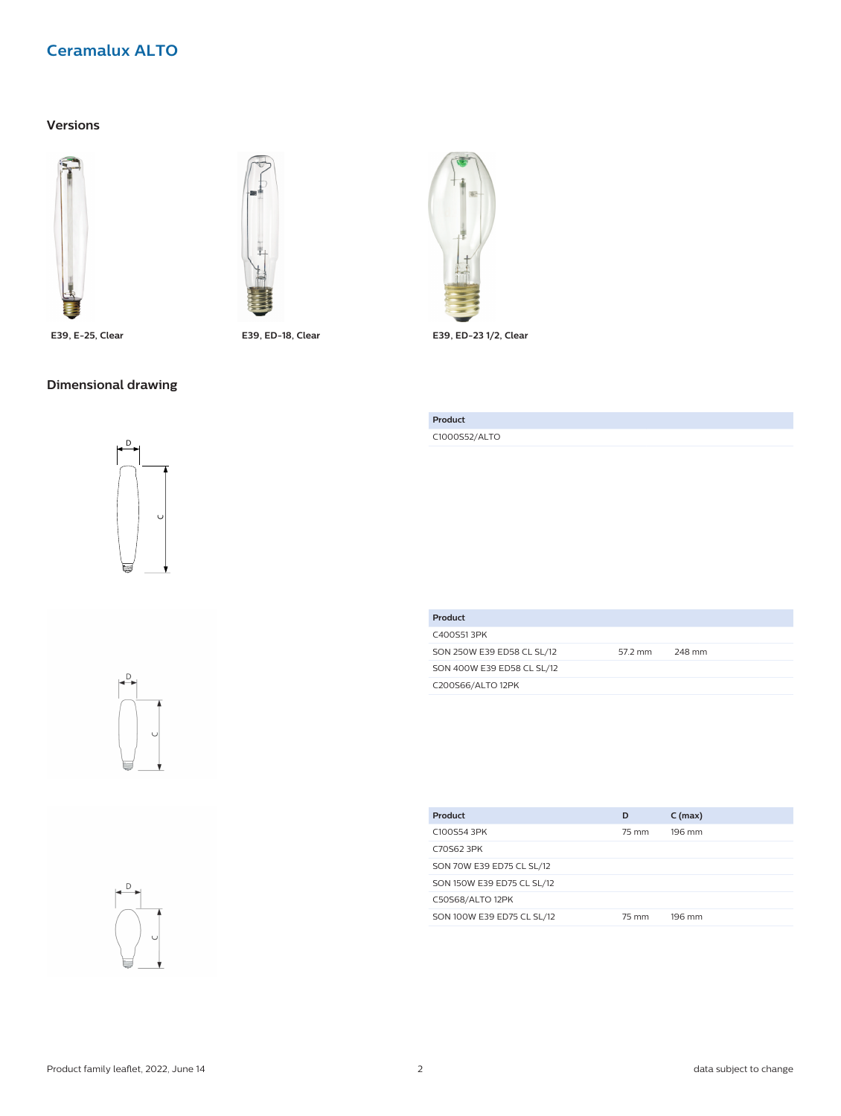# **Versions**





# **Dimensional drawing**









**E39, E-25, Clear E39, ED-18, Clear E39, ED-23 1/2, Clear**

**Product** C1000S52/ALTO

| Product                    |         |        |
|----------------------------|---------|--------|
| C400S513PK                 |         |        |
| SON 250W E39 ED58 CL SL/12 | 57.2 mm | 248 mm |
| SON 400W E39 ED58 CL SL/12 |         |        |
| C200S66/ALTO 12PK          |         |        |

| Product                    | D     | $C$ (max) |
|----------------------------|-------|-----------|
| C100S54 3PK                | 75 mm | 196 mm    |
| C70S62 3PK                 |       |           |
| SON 70W E39 ED75 CL SL/12  |       |           |
| SON 150W E39 ED75 CL SL/12 |       |           |
| C50S68/ALTO 12PK           |       |           |
| SON 100W E39 ED75 CL SL/12 | 75 mm | 196 mm    |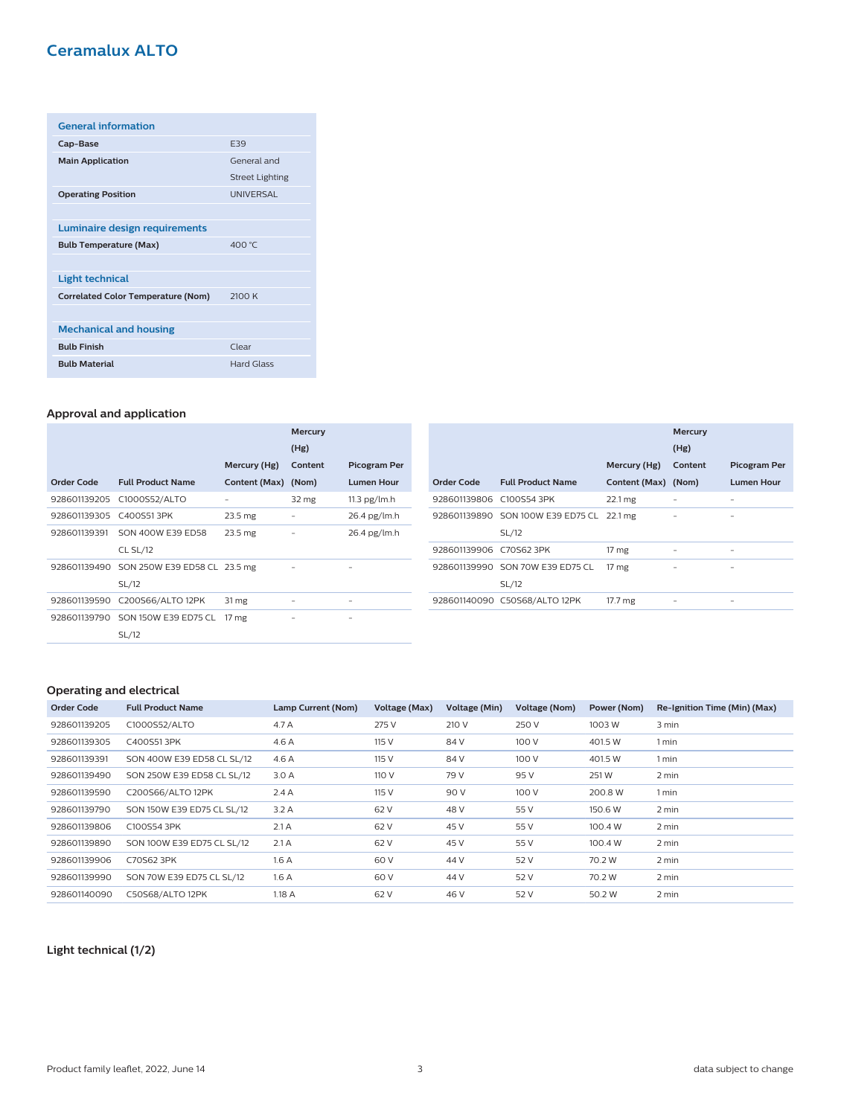| <b>General information</b>                |                        |
|-------------------------------------------|------------------------|
| Cap-Base                                  | <b>E39</b>             |
| <b>Main Application</b>                   | General and            |
|                                           | <b>Street Lighting</b> |
| <b>Operating Position</b>                 | <b>UNIVERSAL</b>       |
|                                           |                        |
| Luminaire design requirements             |                        |
| <b>Bulb Temperature (Max)</b>             | 400 °C                 |
|                                           |                        |
| <b>Light technical</b>                    |                        |
| <b>Correlated Color Temperature (Nom)</b> | 2100K                  |
|                                           |                        |
| <b>Mechanical and housing</b>             |                        |
| <b>Bulb Finish</b>                        | Clear                  |
| <b>Bulb Material</b>                      | Hard Glass             |

#### **Approval and application**

|              |                              |                    | <b>Mercury</b> |                     |
|--------------|------------------------------|--------------------|----------------|---------------------|
|              |                              |                    | (Hg)           |                     |
|              |                              | Mercury (Hg)       | Content        | <b>Picogram Per</b> |
| Order Code   | <b>Full Product Name</b>     | Content (Max)      | (Nom)          | <b>Lumen Hour</b>   |
| 928601139205 | C1000S52/ALTO                |                    | 32 mg          | $11.3$ pg/lm.h      |
| 928601139305 | C400S513PK                   | 23.5 mg            |                | 26.4 pg/lm.h        |
| 928601139391 | SON 400W E39 ED58            | 23.5 <sub>mg</sub> |                | $26.4$ pg/lm.h      |
|              | <b>CL SL/12</b>              |                    |                |                     |
| 928601139490 | SON 250W E39 ED58 CL 23.5 mg |                    |                |                     |
|              | SL/12                        |                    |                |                     |
| 928601139590 | C200S66/ALTO 12PK            | 31 mg              | -              |                     |
| 928601139790 | SON 150W E39 ED75 CL         | 17 <sub>mg</sub>   |                |                     |
|              | SL/12                        |                    |                |                     |

|                          |                                   |                     | <b>Mercury</b><br>(Hg) |                     |
|--------------------------|-----------------------------------|---------------------|------------------------|---------------------|
|                          |                                   | Mercury (Hg)        | Content                | <b>Picogram Per</b> |
| Order Code               | <b>Full Product Name</b>          | Content (Max) (Nom) |                        | <b>Lumen Hour</b>   |
| 928601139806 C100S54 3PK |                                   | 22.1 mg             |                        |                     |
|                          | 928601139890 SON 100W E39 ED75 CL | 22.1 mg             | -                      | -                   |
|                          | SL/12                             |                     |                        |                     |
| 928601139906 C70S62 3PK  |                                   | 17 <sub>mg</sub>    |                        |                     |
|                          | 928601139990 SON 70W E39 ED75 CL  | 17 <sub>mg</sub>    | ۰                      | -                   |
|                          | SL/12                             |                     |                        |                     |
|                          | 928601140090 C50S68/ALTO 12PK     | 17.7 mg             |                        |                     |

#### **Operating and electrical**

| <b>Order Code</b> | <b>Full Product Name</b>   | Lamp Current (Nom) | Voltage (Max) | Voltage (Min) | Voltage (Nom) | Power (Nom) | Re-Ignition Time (Min) (Max) |
|-------------------|----------------------------|--------------------|---------------|---------------|---------------|-------------|------------------------------|
| 928601139205      | C1000S52/ALTO              | 4.7 A              | 275 V         | 210 V         | 250 V         | 1003 W      | 3 min                        |
| 928601139305      | C400S513PK                 | 4.6 A              | 115 V         | 84 V          | 100 V         | 401.5 W     | 1 min                        |
| 928601139391      | SON 400W E39 ED58 CL SL/12 | 4.6 A              | 115 V         | 84 V          | 100 V         | 401.5 W     | 1 min                        |
| 928601139490      | SON 250W E39 ED58 CL SL/12 | 3.0A               | 110 V         | 79 V          | 95 V          | 251W        | 2 min                        |
| 928601139590      | C200S66/ALTO 12PK          | 2.4A               | 115 V         | 90 V          | 100 V         | 200.8 W     | 1 min                        |
| 928601139790      | SON 150W E39 ED75 CL SL/12 | 3.2A               | 62 V          | 48 V          | 55 V          | 150.6 W     | 2 min                        |
| 928601139806      | C100S54 3PK                | 2.1A               | 62 V          | 45 V          | 55 V          | 100.4 W     | 2 min                        |
| 928601139890      | SON 100W E39 ED75 CL SL/12 | 2.1A               | 62 V          | 45 V          | 55 V          | 100.4 W     | 2 min                        |
| 928601139906      | C70S62 3PK                 | 1.6A               | 60 V          | 44 V          | 52 V          | 70.2 W      | 2 min                        |
| 928601139990      | SON 70W E39 ED75 CL SL/12  | 1.6A               | 60 V          | 44 V          | 52 V          | 70.2 W      | 2 min                        |
| 928601140090      | C50S68/ALTO 12PK           | 1.18A              | 62 V          | 46 V          | 52 V          | 50.2 W      | 2 min                        |

# **Light technical (1/2)**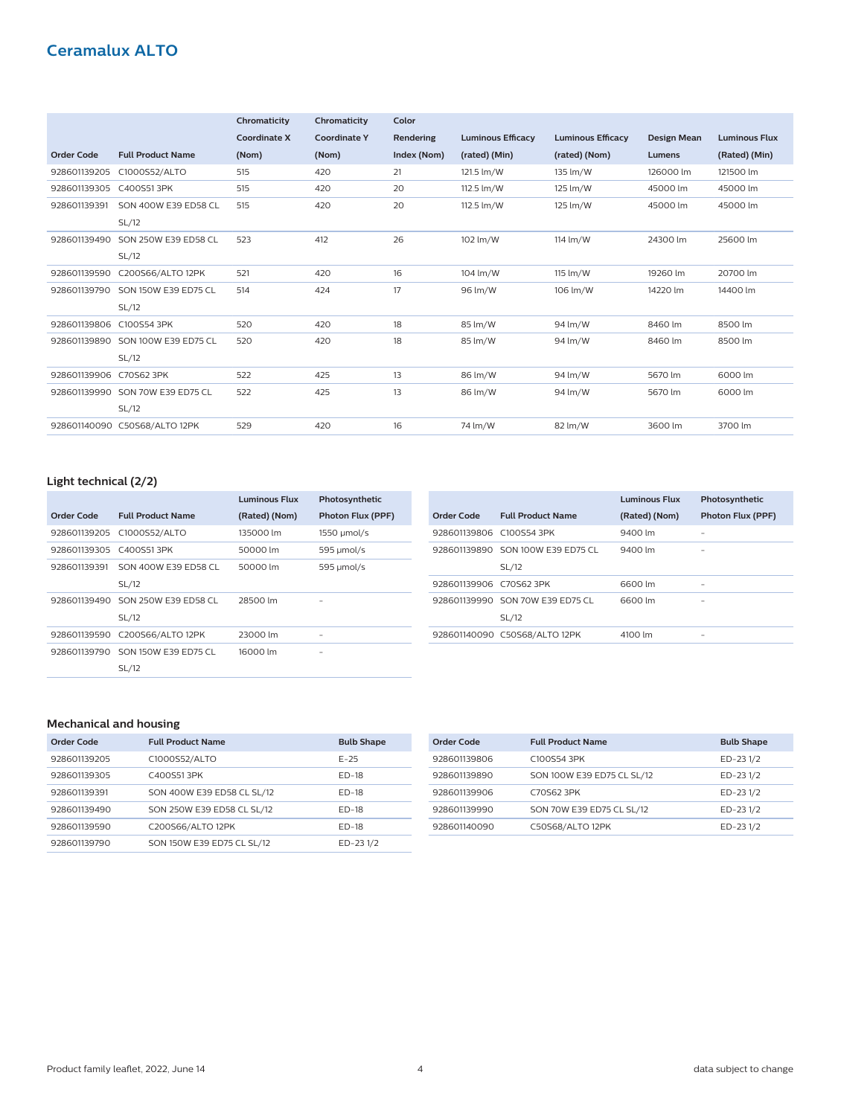|                   |                               | Chromaticity        | Chromaticity        | Color       |                          |                          |                    |                      |
|-------------------|-------------------------------|---------------------|---------------------|-------------|--------------------------|--------------------------|--------------------|----------------------|
|                   |                               | <b>Coordinate X</b> | <b>Coordinate Y</b> | Rendering   | <b>Luminous Efficacy</b> | <b>Luminous Efficacy</b> | <b>Design Mean</b> | <b>Luminous Flux</b> |
| <b>Order Code</b> | <b>Full Product Name</b>      | (Nom)               | (Nom)               | Index (Nom) | (rated) (Min)            | (rated) (Nom)            | <b>Lumens</b>      | (Rated) (Min)        |
| 928601139205      | C1000S52/ALTO                 | 515                 | 420                 | 21          | 121.5 lm/W               | 135 lm/W                 | 126000 lm          | 121500 lm            |
| 928601139305      | C400S513PK                    | 515                 | 420                 | 20          | 112.5 lm/W               | 125 lm/W                 | 45000 lm           | 45000 lm             |
| 928601139391      | SON 400W E39 ED58 CL          | 515                 | 420                 | 20          | 112.5 lm/W               | 125 lm/W                 | 45000 lm           | 45000 lm             |
|                   | SL/12                         |                     |                     |             |                          |                          |                    |                      |
| 928601139490      | SON 250W E39 ED58 CL          | 523                 | 412                 | 26          | 102 lm/W                 | 114 lm/W                 | 24300 lm           | 25600 lm             |
|                   | SL/12                         |                     |                     |             |                          |                          |                    |                      |
| 928601139590      | C200S66/ALTO 12PK             | 521                 | 420                 | 16          | 104 lm/W                 | 115 lm/W                 | 19260 lm           | 20700 lm             |
| 928601139790      | SON 150W E39 ED75 CL          | 514                 | 424                 | 17          | 96 lm/W                  | 106 lm/W                 | 14220 lm           | 14400 lm             |
|                   | SL/12                         |                     |                     |             |                          |                          |                    |                      |
| 928601139806      | C100S54 3PK                   | 520                 | 420                 | 18          | 85 lm/W                  | 94 lm/W                  | 8460 lm            | 8500 lm              |
| 928601139890      | SON 100W E39 ED75 CL          | 520                 | 420                 | 18          | 85 lm/W                  | 94 lm/W                  | 8460 lm            | 8500 lm              |
|                   | SL/12                         |                     |                     |             |                          |                          |                    |                      |
| 928601139906      | C70S62 3PK                    | 522                 | 425                 | 13          | 86 lm/W                  | 94 lm/W                  | 5670 lm            | 6000 lm              |
| 928601139990      | SON 70W E39 ED75 CL           | 522                 | 425                 | 13          | 86 lm/W                  | 94 lm/W                  | 5670 lm            | 6000 lm              |
|                   | SL/12                         |                     |                     |             |                          |                          |                    |                      |
|                   | 928601140090 C50S68/ALTO 12PK | 529                 | 420                 | 16          | 74 lm/W                  | 82 lm/W                  | 3600 lm            | 3700 lm              |

# **Light technical (2/2)**

|                         |                            | <b>Luminous Flux</b> | Photosynthetic    |
|-------------------------|----------------------------|----------------------|-------------------|
| Order Code              | <b>Full Product Name</b>   | (Rated) (Nom)        | Photon Flux (PPF) |
|                         | 928601139205 C1000S52/ALTO | 135000 lm            | 1550 µmol/s       |
| 928601139305 C400S513PK |                            | 50000 lm             | 595 µmol/s        |
| 928601139391            | SON 400W E39 ED58 CL       | 50000 lm             | 595 µmol/s        |
|                         | SL/12                      |                      |                   |
| 928601139490            | SON 250W E39 ED58 CL       | 28500 lm             |                   |
|                         | SL/12                      |                      |                   |
| 928601139590            | C200S66/ALTO 12PK          | 23000 lm             | ٠                 |
| 928601139790            | SON 150W E39 ED75 CL       | 16000 lm             | -                 |
|                         | SL/12                      |                      |                   |

|                          |                                            | <b>Luminous Flux</b> | Photosynthetic           |
|--------------------------|--------------------------------------------|----------------------|--------------------------|
| Order Code               | <b>Full Product Name</b>                   | (Rated) (Nom)        | <b>Photon Flux (PPF)</b> |
| 928601139806 C100S54 3PK |                                            | 9400 lm              |                          |
|                          | 928601139890 SON 100W E39 ED75 CL<br>SL/12 | 9400 lm              |                          |
|                          |                                            |                      |                          |
| 928601139906 C70S62 3PK  |                                            | 6600 lm              |                          |
|                          | 928601139990 SON 70W E39 ED75 CL<br>SL/12  | 6600 lm              |                          |
|                          | 928601140090 C50S68/ALTO 12PK              | 4100 lm              |                          |

# **Mechanical and housing**

| Order Code   | <b>Full Product Name</b>   | <b>Bulb Shape</b> |
|--------------|----------------------------|-------------------|
| 928601139205 | C1000S52/ALTO              | $F-25$            |
| 928601139305 | C400S513PK                 | $ED-18$           |
| 928601139391 | SON 400W E39 ED58 CL SL/12 | $ED-18$           |
| 928601139490 | SON 250W E39 ED58 CL SL/12 | $ED-18$           |
| 928601139590 | C200S66/ALTO 12PK          | $ED-18$           |
| 928601139790 | SON 150W E39 ED75 CL SL/12 | ED-231/2          |

| Order Code   | <b>Full Product Name</b>   | <b>Bulb Shape</b> |
|--------------|----------------------------|-------------------|
| 928601139806 | C100S54 3PK                | ED-231/2          |
| 928601139890 | SON 100W E39 ED75 CL SL/12 | ED-231/2          |
| 928601139906 | C70S62 3PK                 | ED-231/2          |
| 928601139990 | SON 70W E39 ED75 CL SL/12  | ED-231/2          |
| 928601140090 | C50S68/ALTO 12PK           | ED-231/2          |